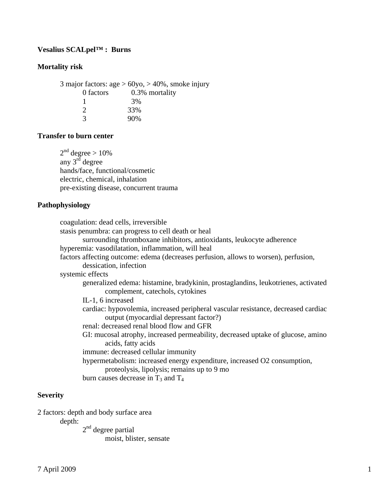# **Vesalius SCALpel™ : Burns**

## **Mortality risk**

3 major factors: age  $> 60$ yo,  $> 40$ %, smoke injury 0 factors 0.3% mortality 1 3% 2 33% 3 90%

# **Transfer to burn center**

 $2<sup>nd</sup>$  degree  $> 10\%$ any  $3^{rd}$  degree hands/face, functional/cosmetic electric, chemical, inhalation pre-existing disease, concurrent trauma

# **Pathophysiology**

| coagulation: dead cells, irreversible                                                |
|--------------------------------------------------------------------------------------|
| stasis penumbra: can progress to cell death or heal                                  |
| surrounding thromboxane inhibitors, antioxidants, leukocyte adherence                |
| hyperemia: vasodilatation, inflammation, will heal                                   |
| factors affecting outcome: edema (decreases perfusion, allows to worsen), perfusion, |
| dessication, infection                                                               |
| systemic effects                                                                     |
| generalized edema: histamine, bradykinin, prostaglandins, leukotrienes, activated    |
| complement, catechols, cytokines                                                     |
| IL-1, 6 increased                                                                    |
| cardiac: hypovolemia, increased peripheral vascular resistance, decreased cardiac    |
| output (myocardial depressant factor?)                                               |
| renal: decreased renal blood flow and GFR                                            |
| GI: mucosal atrophy, increased permeability, decreased uptake of glucose, amino      |
| acids, fatty acids                                                                   |
| immune: decreased cellular immunity                                                  |
| hypermetabolism: increased energy expenditure, increased O2 consumption,             |
| proteolysis, lipolysis; remains up to 9 mo                                           |
| burn causes decrease in $T_3$ and $T_4$                                              |
|                                                                                      |

## **Severity**

2 factors: depth and body surface area

depth:

 $2<sup>nd</sup>$  degree partial moist, blister, sensate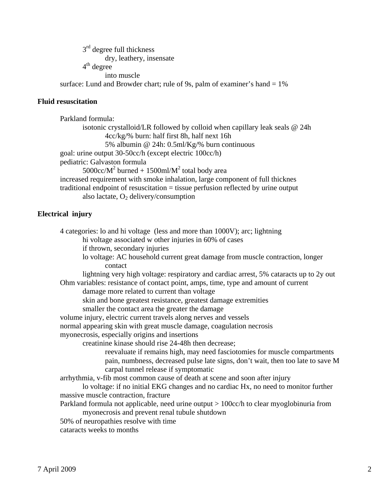$3<sup>rd</sup>$  degree full thickness dry, leathery, insensate  $4<sup>th</sup>$  degree into muscle surface: Lund and Browder chart; rule of 9s, palm of examiner's hand  $= 1\%$ 

## **Fluid resuscitation**

 Parkland formula: isotonic crystalloid/LR followed by colloid when capillary leak seals @ 24h 4cc/kg/% burn: half first 8h, half next 16h 5% albumin @ 24h: 0.5ml/Kg/% burn continuous goal: urine output 30-50cc/h (except electric 100cc/h) pediatric: Galvaston formula  $5000 \text{cc/M}^2$  burned + 1500ml/M<sup>2</sup> total body area increased requirement with smoke inhalation, large component of full thicknes traditional endpoint of resuscitation = tissue perfusion reflected by urine output also lactate,  $O_2$  delivery/consumption

## **Electrical injury**

 4 categories: lo and hi voltage (less and more than 1000V); arc; lightning hi voltage associated w other injuries in 60% of cases if thrown, secondary injuries lo voltage: AC household current great damage from muscle contraction, longer contact lightning very high voltage: respiratory and cardiac arrest, 5% cataracts up to 2y out Ohm variables: resistance of contact point, amps, time, type and amount of current damage more related to current than voltage skin and bone greatest resistance, greatest damage extremities smaller the contact area the greater the damage volume injury, electric current travels along nerves and vessels normal appearing skin with great muscle damage, coagulation necrosis myonecrosis, especially origins and insertions creatinine kinase should rise 24-48h then decrease; reevaluate if remains high, may need fasciotomies for muscle compartments pain, numbness, decreased pulse late signs, don't wait, then too late to save M carpal tunnel release if symptomatic arrhythmia, v-fib most common cause of death at scene and soon after injury lo voltage: if no initial EKG changes and no cardiac Hx, no need to monitor further massive muscle contraction, fracture Parkland formula not applicable, need urine output > 100cc/h to clear myoglobinuria from myonecrosis and prevent renal tubule shutdown 50% of neuropathies resolve with time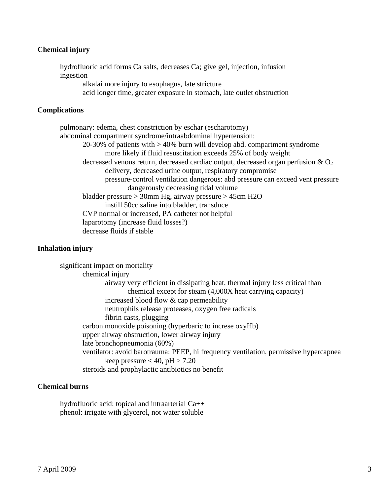### **Chemical injury**

 hydrofluoric acid forms Ca salts, decreases Ca; give gel, injection, infusion ingestion alkalai more injury to esophagus, late stricture

acid longer time, greater exposure in stomach, late outlet obstruction

### **Complications**

 pulmonary: edema, chest constriction by eschar (escharotomy) abdominal compartment syndrome/intraabdominal hypertension: 20-30% of patients with > 40% burn will develop abd. compartment syndrome more likely if fluid resuscitation exceeds 25% of body weight decreased venous return, decreased cardiac output, decreased organ perfusion  $\&$  O<sub>2</sub> delivery, decreased urine output, respiratory compromise pressure-control ventilation dangerous: abd pressure can exceed vent pressure dangerously decreasing tidal volume bladder pressure > 30mm Hg, airway pressure > 45cm H2O instill 50cc saline into bladder, transduce CVP normal or increased, PA catheter not helpful laparotomy (increase fluid losses?) decrease fluids if stable

### **Inhalation injury**

 significant impact on mortality chemical injury airway very efficient in dissipating heat, thermal injury less critical than chemical except for steam (4,000X heat carrying capacity) increased blood flow & cap permeability neutrophils release proteases, oxygen free radicals fibrin casts, plugging carbon monoxide poisoning (hyperbaric to increse oxyHb) upper airway obstruction, lower airway injury late bronchopneumonia (60%) ventilator: avoid barotrauma: PEEP, hi frequency ventilation, permissive hypercapnea keep pressure  $< 40$ , pH  $> 7.20$ steroids and prophylactic antibiotics no benefit

#### **Chemical burns**

 hydrofluoric acid: topical and intraarterial Ca++ phenol: irrigate with glycerol, not water soluble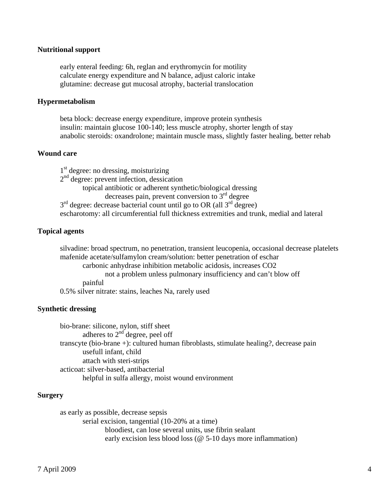#### **Nutritional support**

 early enteral feeding: 6h, reglan and erythromycin for motility calculate energy expenditure and N balance, adjust caloric intake glutamine: decrease gut mucosal atrophy, bacterial translocation

#### **Hypermetabolism**

 beta block: decrease energy expenditure, improve protein synthesis insulin: maintain glucose 100-140; less muscle atrophy, shorter length of stay anabolic steroids: oxandrolone; maintain muscle mass, slightly faster healing, better rehab

#### **Wound care**

 $1<sup>st</sup>$  degree: no dressing, moisturizing 2<sup>nd</sup> degree: prevent infection, dessication topical antibiotic or adherent synthetic/biological dressing decreases pain, prevent conversion to  $3<sup>rd</sup>$  degree  $3<sup>rd</sup>$  degree: decrease bacterial count until go to OR (all  $3<sup>rd</sup>$  degree) escharotomy: all circumferential full thickness extremities and trunk, medial and lateral

#### **Topical agents**

 silvadine: broad spectrum, no penetration, transient leucopenia, occasional decrease platelets mafenide acetate/sulfamylon cream/solution: better penetration of eschar carbonic anhydrase inhibition metabolic acidosis, increases CO2 not a problem unless pulmonary insufficiency and can't blow off painful 0.5% silver nitrate: stains, leaches Na, rarely used

#### **Synthetic dressing**

 bio-brane: silicone, nylon, stiff sheet adheres to  $2<sup>nd</sup>$  degree, peel off transcyte (bio-brane +): cultured human fibroblasts, stimulate healing?, decrease pain usefull infant, child attach with steri-strips acticoat: silver-based, antibacterial helpful in sulfa allergy, moist wound environment

#### **Surgery**

 as early as possible, decrease sepsis serial excision, tangential (10-20% at a time) bloodiest, can lose several units, use fibrin sealant early excision less blood loss (@ 5-10 days more inflammation)